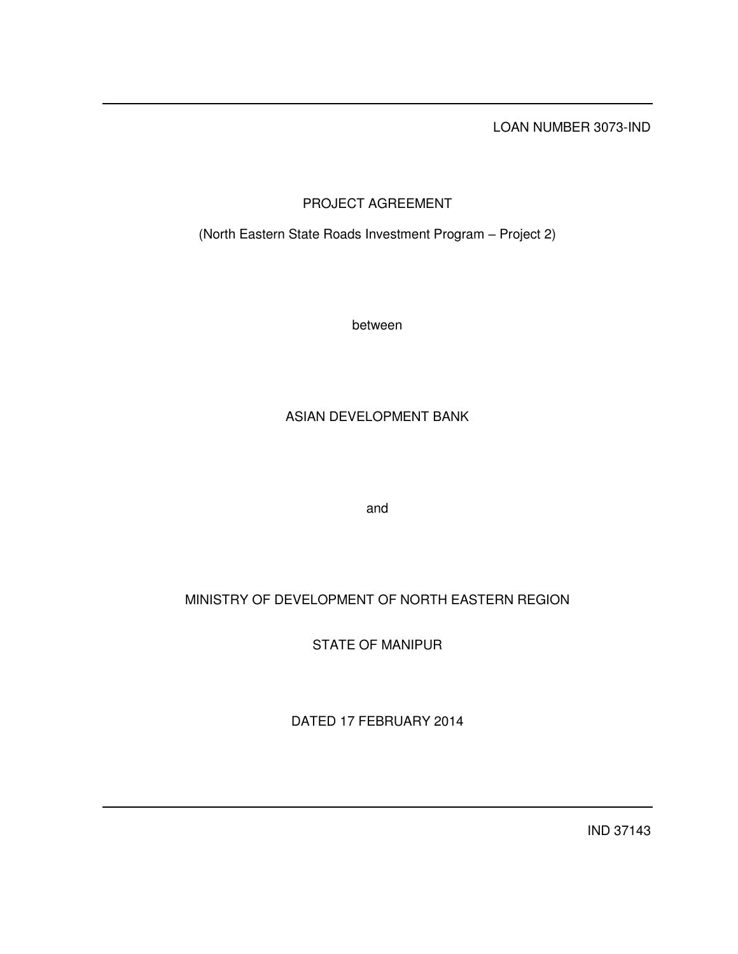LOAN NUMBER 3073-IND

# PROJECT AGREEMENT

(North Eastern State Roads Investment Program – Project 2)

between

# ASIAN DEVELOPMENT BANK

and

# MINISTRY OF DEVELOPMENT OF NORTH EASTERN REGION

STATE OF MANIPUR

DATED 17 FEBRUARY 2014

IND 37143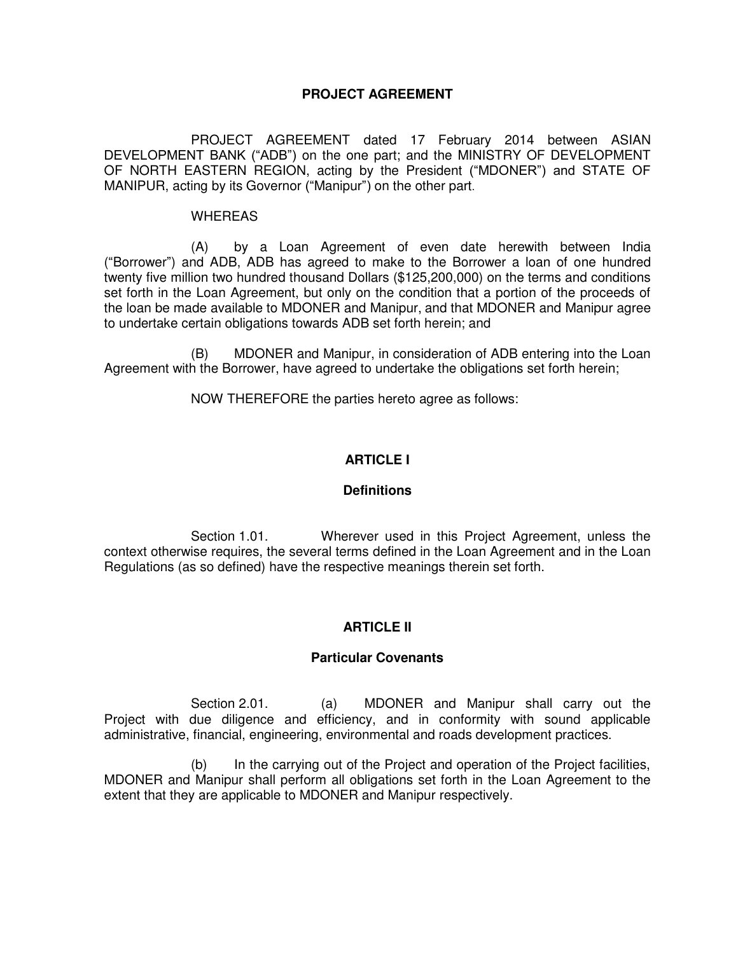# **PROJECT AGREEMENT**

 PROJECT AGREEMENT dated 17 February 2014 between ASIAN DEVELOPMENT BANK ("ADB") on the one part; and the MINISTRY OF DEVELOPMENT OF NORTH EASTERN REGION, acting by the President ("MDONER") and STATE OF MANIPUR, acting by its Governor ("Manipur") on the other part.

#### WHEREAS

 (A) by a Loan Agreement of even date herewith between India ("Borrower") and ADB, ADB has agreed to make to the Borrower a loan of one hundred twenty five million two hundred thousand Dollars (\$125,200,000) on the terms and conditions set forth in the Loan Agreement, but only on the condition that a portion of the proceeds of the loan be made available to MDONER and Manipur, and that MDONER and Manipur agree to undertake certain obligations towards ADB set forth herein; and

(B) MDONER and Manipur, in consideration of ADB entering into the Loan Agreement with the Borrower, have agreed to undertake the obligations set forth herein;

NOW THEREFORE the parties hereto agree as follows:

# **ARTICLE I**

## **Definitions**

 Section 1.01. Wherever used in this Project Agreement, unless the context otherwise requires, the several terms defined in the Loan Agreement and in the Loan Regulations (as so defined) have the respective meanings therein set forth.

# **ARTICLE II**

## **Particular Covenants**

Section 2.01. (a) MDONER and Manipur shall carry out the Project with due diligence and efficiency, and in conformity with sound applicable administrative, financial, engineering, environmental and roads development practices.

 (b) In the carrying out of the Project and operation of the Project facilities, MDONER and Manipur shall perform all obligations set forth in the Loan Agreement to the extent that they are applicable to MDONER and Manipur respectively.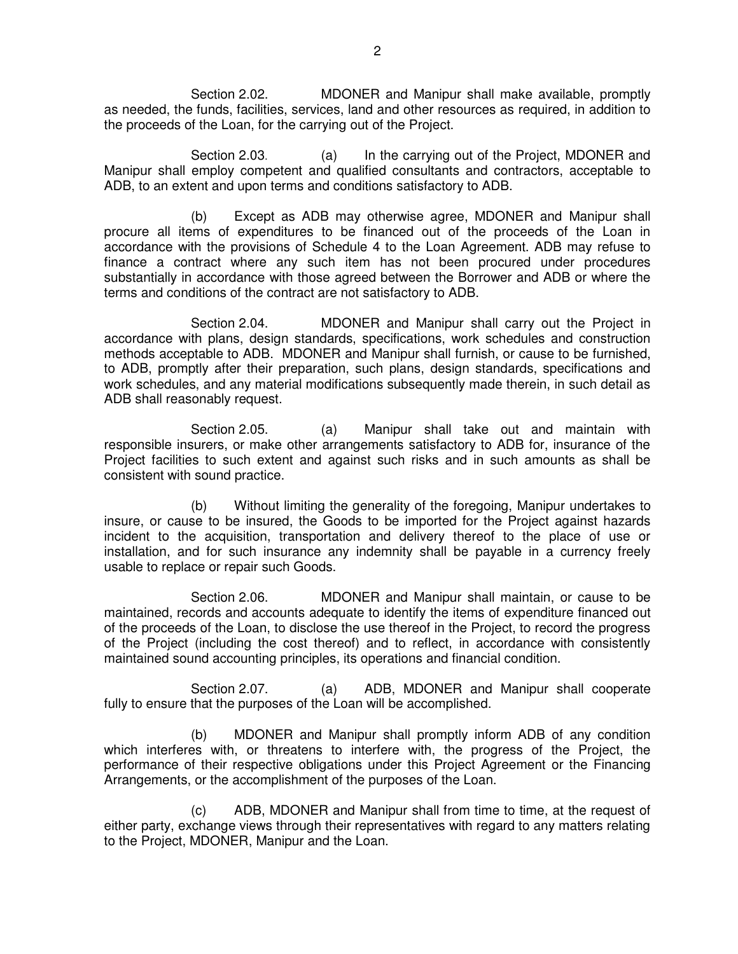Section 2.02. MDONER and Manipur shall make available, promptly as needed, the funds, facilities, services, land and other resources as required, in addition to the proceeds of the Loan, for the carrying out of the Project.

 Section 2.03. (a) In the carrying out of the Project, MDONER and Manipur shall employ competent and qualified consultants and contractors, acceptable to ADB, to an extent and upon terms and conditions satisfactory to ADB.

 (b) Except as ADB may otherwise agree, MDONER and Manipur shall procure all items of expenditures to be financed out of the proceeds of the Loan in accordance with the provisions of Schedule 4 to the Loan Agreement. ADB may refuse to finance a contract where any such item has not been procured under procedures substantially in accordance with those agreed between the Borrower and ADB or where the terms and conditions of the contract are not satisfactory to ADB.

 Section 2.04. MDONER and Manipur shall carry out the Project in accordance with plans, design standards, specifications, work schedules and construction methods acceptable to ADB. MDONER and Manipur shall furnish, or cause to be furnished, to ADB, promptly after their preparation, such plans, design standards, specifications and work schedules, and any material modifications subsequently made therein, in such detail as ADB shall reasonably request.

Section 2.05. (a) Manipur shall take out and maintain with responsible insurers, or make other arrangements satisfactory to ADB for, insurance of the Project facilities to such extent and against such risks and in such amounts as shall be consistent with sound practice.

 (b) Without limiting the generality of the foregoing, Manipur undertakes to insure, or cause to be insured, the Goods to be imported for the Project against hazards incident to the acquisition, transportation and delivery thereof to the place of use or installation, and for such insurance any indemnity shall be payable in a currency freely usable to replace or repair such Goods.

 Section 2.06. MDONER and Manipur shall maintain, or cause to be maintained, records and accounts adequate to identify the items of expenditure financed out of the proceeds of the Loan, to disclose the use thereof in the Project, to record the progress of the Project (including the cost thereof) and to reflect, in accordance with consistently maintained sound accounting principles, its operations and financial condition.

Section 2.07. (a) ADB, MDONER and Manipur shall cooperate fully to ensure that the purposes of the Loan will be accomplished.

 (b) MDONER and Manipur shall promptly inform ADB of any condition which interferes with, or threatens to interfere with, the progress of the Project, the performance of their respective obligations under this Project Agreement or the Financing Arrangements, or the accomplishment of the purposes of the Loan.

 (c) ADB, MDONER and Manipur shall from time to time, at the request of either party, exchange views through their representatives with regard to any matters relating to the Project, MDONER, Manipur and the Loan.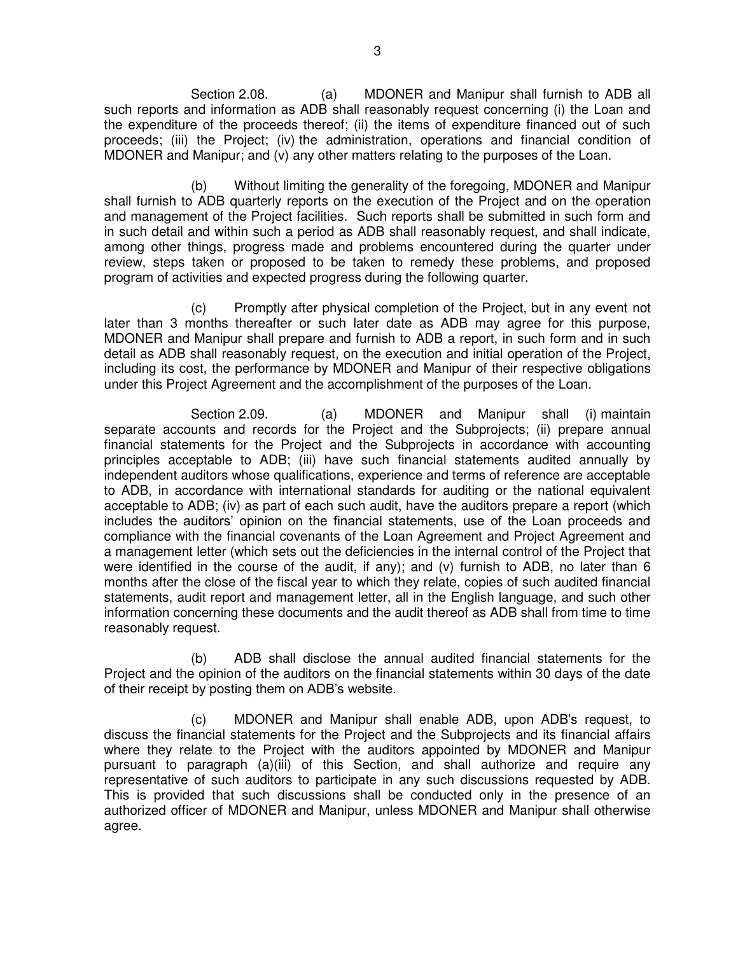Section 2.08. (a) MDONER and Manipur shall furnish to ADB all such reports and information as ADB shall reasonably request concerning (i) the Loan and the expenditure of the proceeds thereof; (ii) the items of expenditure financed out of such proceeds; (iii) the Project; (iv) the administration, operations and financial condition of MDONER and Manipur; and (v) any other matters relating to the purposes of the Loan.

 (b) Without limiting the generality of the foregoing, MDONER and Manipur shall furnish to ADB quarterly reports on the execution of the Project and on the operation and management of the Project facilities. Such reports shall be submitted in such form and in such detail and within such a period as ADB shall reasonably request, and shall indicate, among other things, progress made and problems encountered during the quarter under review, steps taken or proposed to be taken to remedy these problems, and proposed program of activities and expected progress during the following quarter.

 (c) Promptly after physical completion of the Project, but in any event not later than 3 months thereafter or such later date as ADB may agree for this purpose, MDONER and Manipur shall prepare and furnish to ADB a report, in such form and in such detail as ADB shall reasonably request, on the execution and initial operation of the Project, including its cost, the performance by MDONER and Manipur of their respective obligations under this Project Agreement and the accomplishment of the purposes of the Loan.

Section 2.09. (a) MDONER and Manipur shall (i) maintain separate accounts and records for the Project and the Subprojects; (ii) prepare annual financial statements for the Project and the Subprojects in accordance with accounting principles acceptable to ADB; (iii) have such financial statements audited annually by independent auditors whose qualifications, experience and terms of reference are acceptable to ADB, in accordance with international standards for auditing or the national equivalent acceptable to ADB; (iv) as part of each such audit, have the auditors prepare a report (which includes the auditors' opinion on the financial statements, use of the Loan proceeds and compliance with the financial covenants of the Loan Agreement and Project Agreement and a management letter (which sets out the deficiencies in the internal control of the Project that were identified in the course of the audit, if any); and (v) furnish to ADB, no later than 6 months after the close of the fiscal year to which they relate, copies of such audited financial statements, audit report and management letter, all in the English language, and such other information concerning these documents and the audit thereof as ADB shall from time to time reasonably request.

 (b) ADB shall disclose the annual audited financial statements for the Project and the opinion of the auditors on the financial statements within 30 days of the date of their receipt by posting them on ADB's website.

 (c) MDONER and Manipur shall enable ADB, upon ADB's request, to discuss the financial statements for the Project and the Subprojects and its financial affairs where they relate to the Project with the auditors appointed by MDONER and Manipur pursuant to paragraph (a)(iii) of this Section, and shall authorize and require any representative of such auditors to participate in any such discussions requested by ADB. This is provided that such discussions shall be conducted only in the presence of an authorized officer of MDONER and Manipur, unless MDONER and Manipur shall otherwise agree.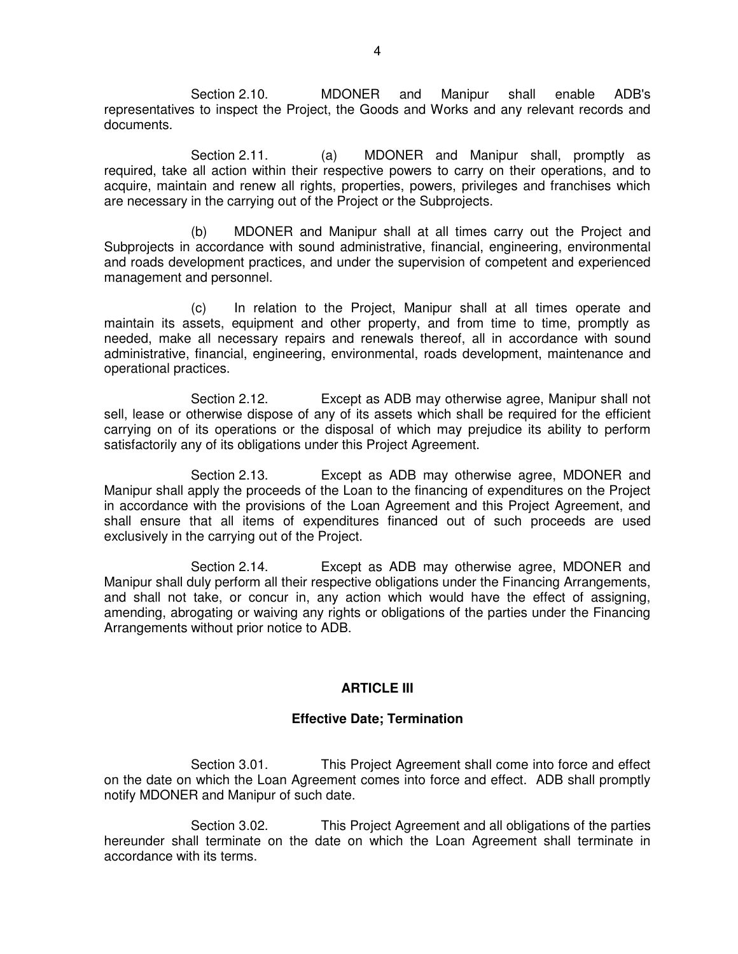Section 2.10. MDONER and Manipur shall enable ADB's representatives to inspect the Project, the Goods and Works and any relevant records and documents.

Section 2.11. (a) MDONER and Manipur shall, promptly as required, take all action within their respective powers to carry on their operations, and to acquire, maintain and renew all rights, properties, powers, privileges and franchises which are necessary in the carrying out of the Project or the Subprojects.

 (b) MDONER and Manipur shall at all times carry out the Project and Subprojects in accordance with sound administrative, financial, engineering, environmental and roads development practices, and under the supervision of competent and experienced management and personnel.

 (c) In relation to the Project, Manipur shall at all times operate and maintain its assets, equipment and other property, and from time to time, promptly as needed, make all necessary repairs and renewals thereof, all in accordance with sound administrative, financial, engineering, environmental, roads development, maintenance and operational practices.

 Section 2.12. Except as ADB may otherwise agree, Manipur shall not sell, lease or otherwise dispose of any of its assets which shall be required for the efficient carrying on of its operations or the disposal of which may prejudice its ability to perform satisfactorily any of its obligations under this Project Agreement.

 Section 2.13. Except as ADB may otherwise agree, MDONER and Manipur shall apply the proceeds of the Loan to the financing of expenditures on the Project in accordance with the provisions of the Loan Agreement and this Project Agreement, and shall ensure that all items of expenditures financed out of such proceeds are used exclusively in the carrying out of the Project.

 Section 2.14. Except as ADB may otherwise agree, MDONER and Manipur shall duly perform all their respective obligations under the Financing Arrangements, and shall not take, or concur in, any action which would have the effect of assigning, amending, abrogating or waiving any rights or obligations of the parties under the Financing Arrangements without prior notice to ADB.

# **ARTICLE III**

# **Effective Date; Termination**

Section 3.01. This Project Agreement shall come into force and effect on the date on which the Loan Agreement comes into force and effect. ADB shall promptly notify MDONER and Manipur of such date.

Section 3.02. This Project Agreement and all obligations of the parties hereunder shall terminate on the date on which the Loan Agreement shall terminate in accordance with its terms.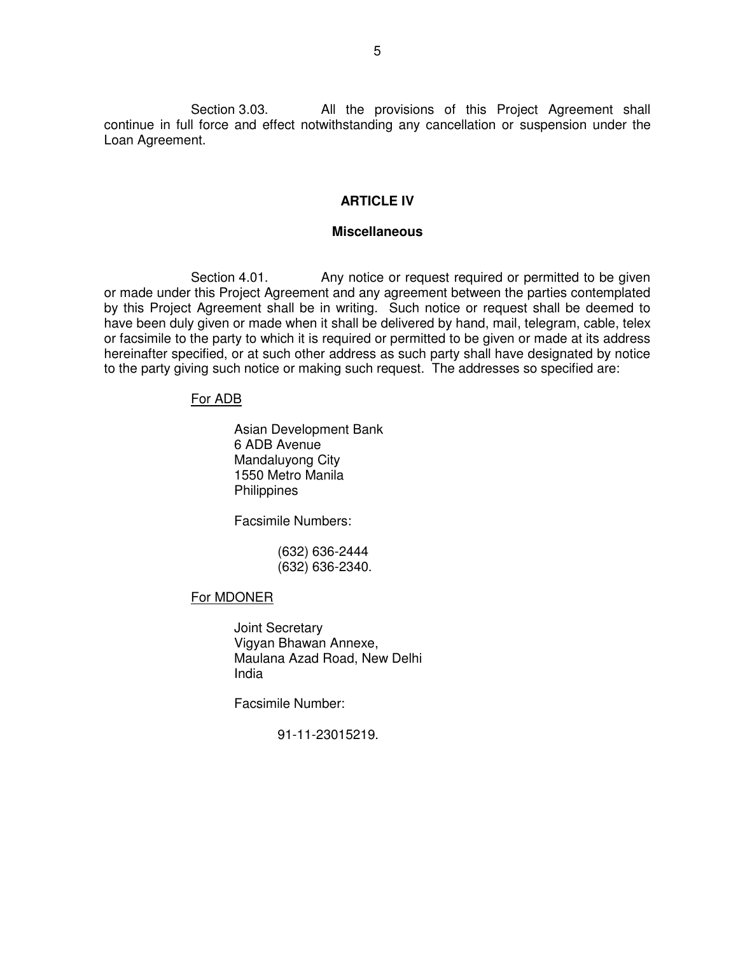Section 3.03. All the provisions of this Project Agreement shall continue in full force and effect notwithstanding any cancellation or suspension under the Loan Agreement.

## **ARTICLE IV**

#### **Miscellaneous**

Section 4.01. Any notice or request required or permitted to be given or made under this Project Agreement and any agreement between the parties contemplated by this Project Agreement shall be in writing. Such notice or request shall be deemed to have been duly given or made when it shall be delivered by hand, mail, telegram, cable, telex or facsimile to the party to which it is required or permitted to be given or made at its address hereinafter specified, or at such other address as such party shall have designated by notice to the party giving such notice or making such request. The addresses so specified are:

#### For ADB

Asian Development Bank 6 ADB Avenue Mandaluyong City 1550 Metro Manila **Philippines** 

Facsimile Numbers:

 (632) 636-2444 (632) 636-2340.

#### For MDONER

 Joint Secretary Vigyan Bhawan Annexe, Maulana Azad Road, New Delhi India

Facsimile Number:

91-11-23015219.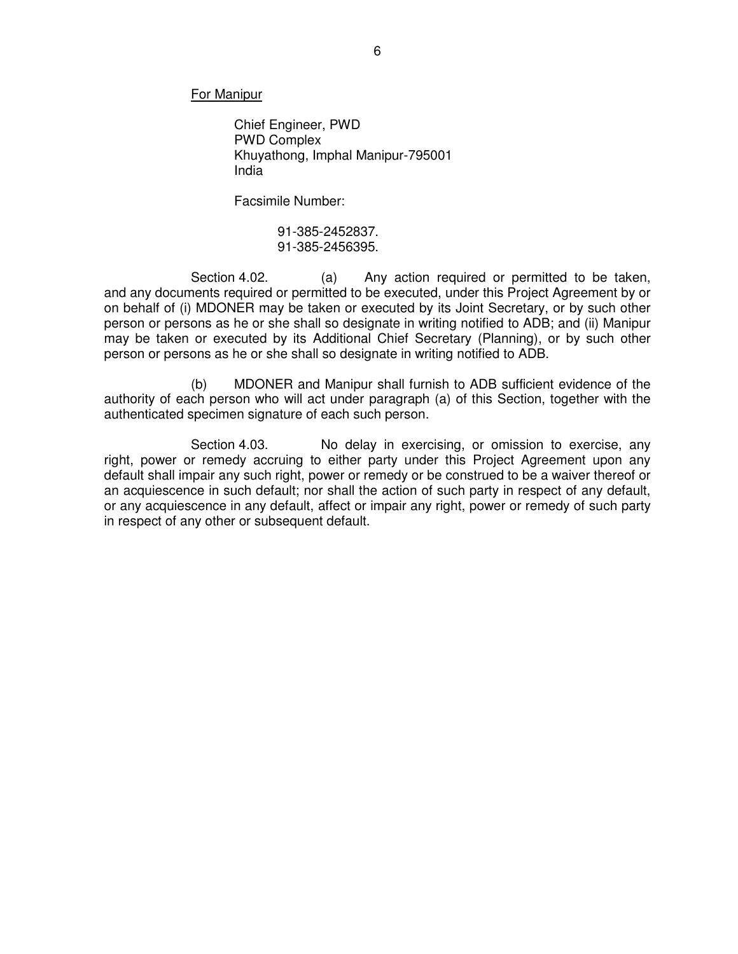For Manipur

 Chief Engineer, PWD PWD Complex Khuyathong, Imphal Manipur-795001 India

Facsimile Number:

91-385-2452837. 91-385-2456395.

Section 4.02. (a) Any action required or permitted to be taken, and any documents required or permitted to be executed, under this Project Agreement by or on behalf of (i) MDONER may be taken or executed by its Joint Secretary, or by such other person or persons as he or she shall so designate in writing notified to ADB; and (ii) Manipur may be taken or executed by its Additional Chief Secretary (Planning), or by such other person or persons as he or she shall so designate in writing notified to ADB.

 (b) MDONER and Manipur shall furnish to ADB sufficient evidence of the authority of each person who will act under paragraph (a) of this Section, together with the authenticated specimen signature of each such person.

Section 4.03. No delay in exercising, or omission to exercise, any right, power or remedy accruing to either party under this Project Agreement upon any default shall impair any such right, power or remedy or be construed to be a waiver thereof or an acquiescence in such default; nor shall the action of such party in respect of any default, or any acquiescence in any default, affect or impair any right, power or remedy of such party in respect of any other or subsequent default.